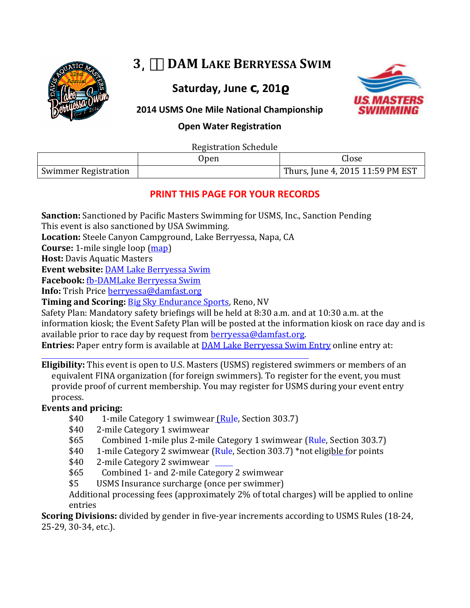

# **3͵ DAM LAKE BERRYESSA SWIM**

**Saturday, June , 201**



### **2014 USMS One Mile National Championship**

**Open Water Registration**

Registration Schedule

| <i>region</i> anon boncano  |      |                                    |  |
|-----------------------------|------|------------------------------------|--|
|                             | Upen | Close                              |  |
| <b>Swimmer Registration</b> |      | Thurs, June 4, 2015 11:59 PM EST ' |  |
|                             |      |                                    |  |

### **PRINT THIS PAGE FOR YOUR RECORDS**

**Sanction:** Sanctioned by Pacific Masters Swimming for USMS, Inc., Sanction Pending

This event is also sanctioned by USA Swimming.

**Location:** Steele Canyon Campground, Lake Berryessa, Napa, CA

**Course:** 1-mile single loop [\(map\)](https://mapsengine.google.com/map/edit?mid=zJ9NsN0tbQ1k.k279G9skTWTA)

**Host:** Davis Aquatic Masters

**Event website:** [DAM Lake Berryessa Swim](http://www.damfast.org/w/page.cfm?pagetitle=Open%20Water)

**Facebook:** [fb-DAMLake Berryessa Swim](https://www.facebook.com/pages/DAM-Lake-Berryessa-Swim/268535123281345)

**Info:** Trish Price [berryessa@damfast.org](mailto:berryessa@damfast.org) 

**Timing and Scoring:** [Big Sky Endurance Sports,](http://www.bigskyendurancesports.com/) Reno, NV

Safety Plan: Mandatory safety briefings will be held at 8:30 a.m. and at 10:30 a.m. at the information kiosk; the Event Safety Plan will be posted at the information kiosk on race day and is available prior to race day by request from [berryessa@damfast.org.](mailto:berryessa@damfast.org)

**Entries:** [Paper entry form is available at DAM Lake Berryessa Swim E](https://www.clubassistant.com/club/meet_information.cfm?c=1741&smid=5368)ntry online entry at:

**Eligibility:** This event is open to U.S. Masters (USMS) registered swimmers or members of an equivalent FINA organization (for foreign swimmers). To register for the event, you must provide proof of current membership. You may register for USMS during your event entry process.

### **Events and pricing:**

- \$40 1-mile Category 1 swimwear <u>(Rul</u>e, Section 303.7)<br>\$40 2-mile Category 1 swimwear
- \$40 2-mile Category 1 swimwear<br>\$65 Combined 1-mile plus 2-mil
- \$65 Combined 1-mile plus 2-mile Category 1 swimwear (Rule, Section 303.7)<br>\$40 1-mile Category 2 swimwear (Rule, Section 303.7) \*not eligible for points
- \$40 1-mile Category 2 swimwear [\(Rule,](http://www.usms.org/rules/part3.pdf) Section 303.7) \*not elig[ible fo](http://www.usms.org/rules/part3.pdf)r points<br>\$40 2-mile Category 2 swimwear
- \$40 2-mile Category 2 swimwear<br>\$65 Combined 1- and 2-mile Cate
- \$65 Combined 1- and 2-mile Category 2 swimwear<br>\$5 USMS Insurance surcharge (once per swimmer)
- USMS Insurance surcharge (once per swimmer)

Additional processing fees (approximately 2% of total charges) will be applied to online entries

**Scoring Divisions:** divided by gender in five-year increments according to USMS Rules (18-24, 25-29, 30-34, etc.).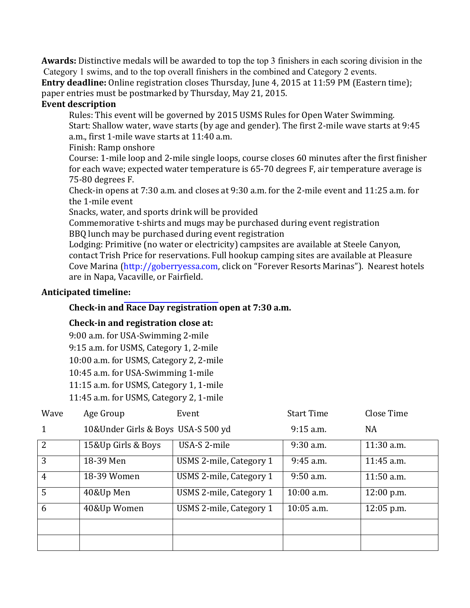**Awards:** Distinctive medals will be awarded to top the top 3 finishers in each scoring division in the Category 1 swims, and to the top overall finishers in the combined and Category 2 events.

**Entry deadline:** Online registration closes Thursday, June 4, 2015 at 11:59 PM (Eastern time); paper entries must be postmarked by Thursday, May 21, 2015.

#### **Event description**

Rules: This event will be governed by 2015 USMS Rules for Open Water Swimming. Start: Shallow water, wave starts (by age and gender). The first 2-mile wave starts at 9:45 a.m., first 1-mile wave starts at 11:40 a.m.

Finish: Ramp onshore

Course: 1-mile loop and 2-mile single loops, course closes 60 minutes after the first finisher for each wave; expected water temperature is 65-70 degrees F, air temperature average is 75-80 degrees F.

Check-in opens at 7:30 a.m. and closes at 9:30 a.m. for the 2-mile event and 11:25 a.m. for the 1-mile event

Snacks, water, and sports drink will be provided

Commemorative t-shirts and mugs may be purchased during event registration BBQ lunch may be purchased during event registration

Lodging: Primitive (no water or electricity) campsites are available at Steele Canyon, contact Trish Price for reservations. Full hookup camping sites are available at Pleasure Cove Marina (http://goberryessa.com, click on "Forever Resorts Marinas"). Nearest hotels are in Napa, Vacaville, or Fairfield.

#### **Anticipated timeli[ne:](http://goberryessa.com/)**

### **Check-in and Race Day registration open at 7:30 a.m.**

### **Check-in and registration close at:**

9:00 a.m. for USA-Swimming 2-mile 9:15 a.m. for USMS, Category 1, 2-mile 10:00 a.m. for USMS, Category 2, 2-mile 10:45 a.m. for USA-Swimming 1-mile 11:15 a.m. for USMS, Category 1, 1-mile 11:45 a.m. for USMS, Category 2, 1-mile

| Wave           | Age Group                          | Event                   | <b>Start Time</b> | Close Time   |
|----------------|------------------------------------|-------------------------|-------------------|--------------|
|                | 10&Under Girls & Boys USA-S 500 yd |                         | $9:15$ a.m.       | <b>NA</b>    |
| 2              | 15&Up Girls & Boys                 | USA-S 2-mile            | 9:30 a.m.         | 11:30 a.m.   |
| 3              | 18-39 Men                          | USMS 2-mile, Category 1 | $9:45$ a.m.       | 11:45 a.m.   |
| $\overline{4}$ | 18-39 Women                        | USMS 2-mile, Category 1 | $9:50$ a.m.       | $11:50$ a.m. |
| $\overline{5}$ | 40&Up Men                          | USMS 2-mile, Category 1 | $10:00$ a.m.      | $12:00$ p.m. |
| 6              | 40&Up Women                        | USMS 2-mile, Category 1 | $10:05$ a.m.      | 12:05 p.m.   |
|                |                                    |                         |                   |              |
|                |                                    |                         |                   |              |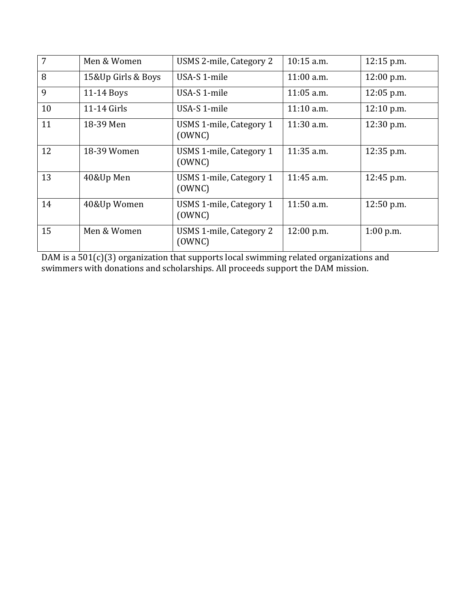| 7  | Men & Women        | USMS 2-mile, Category 2           | $10:15$ a.m. | 12:15 p.m.   |
|----|--------------------|-----------------------------------|--------------|--------------|
| 8  | 15&Up Girls & Boys | USA-S 1-mile                      | $11:00$ a.m. | 12:00 p.m.   |
| 9  | 11-14 Boys         | USA-S 1-mile                      | $11:05$ a.m. | $12:05$ p.m. |
| 10 | 11-14 Girls        | USA-S 1-mile                      | $11:10$ a.m. | 12:10 p.m.   |
| 11 | 18-39 Men          | USMS 1-mile, Category 1<br>(OWNC) | $11:30$ a.m. | 12:30 p.m.   |
| 12 | 18-39 Women        | USMS 1-mile, Category 1<br>(OWNC) | 11:35 a.m.   | 12:35 p.m.   |
| 13 | 40&Up Men          | USMS 1-mile, Category 1<br>(OWNC) | 11:45 a.m.   | 12:45 p.m.   |
| 14 | 40&Up Women        | USMS 1-mile, Category 1<br>(OWNC) | $11:50$ a.m. | $12:50$ p.m. |
| 15 | Men & Women        | USMS 1-mile, Category 2<br>(OWNC) | 12:00 p.m.   | $1:00$ p.m.  |

DAM is a 501(c)(3) organization that supports local swimming related organizations and swimmers with donations and scholarships. All proceeds support the DAM mission.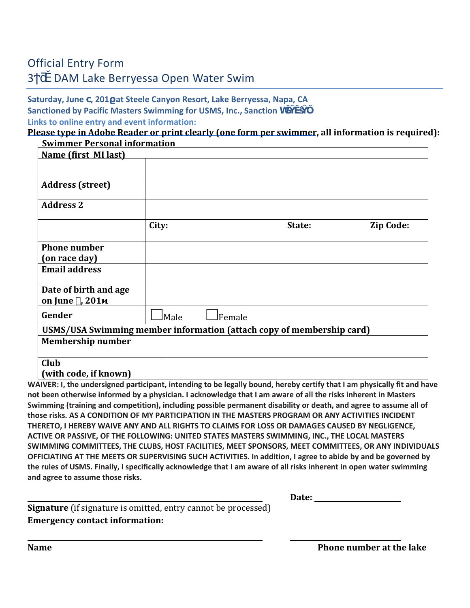### Official Entry Form

### 3 DAM Lake Berryessa Open Water Swim

#### **Saturday, June , 201 at Steele Canyon Resort, Lake Berryessa, Napa, CA Sanctioned by Pacific Masters Swimming for USMS, Inc., Sanction h Links to online entry and event information:**

## **[Please type in Adobe Reader or print clearly \(one form per swimmer,](https://www.clubassistant.com/club/meet_information.cfm?c=1741&smid=5368) all information is required):**

| <b>Swimmer Personal information</b>                                   |       |               |        |           |
|-----------------------------------------------------------------------|-------|---------------|--------|-----------|
| <b>Name (first MI last)</b>                                           |       |               |        |           |
|                                                                       |       |               |        |           |
|                                                                       |       |               |        |           |
| <b>Address (street)</b>                                               |       |               |        |           |
| <b>Address 2</b>                                                      |       |               |        |           |
|                                                                       | City: |               | State: | Zip Code: |
| <b>Phone number</b>                                                   |       |               |        |           |
| (on race day)                                                         |       |               |        |           |
| <b>Email address</b>                                                  |       |               |        |           |
| Date of birth and age<br>on June, 201                                 |       |               |        |           |
| Gender                                                                | JMale | <b>Female</b> |        |           |
| USMS/USA Swimming member information (attach copy of membership card) |       |               |        |           |
| <b>Membership number</b>                                              |       |               |        |           |
| Club                                                                  |       |               |        |           |
| (with code, if known)                                                 |       |               |        |           |

**WAIVER: I, the undersigned participant, intending to be legally bound, hereby certify that I am physically fit and have not been otherwise informed by a physician. I acknowledge that I am aware of all the risks inherent in Masters Swimming (training and competition), including possible permanent disability or death, and agree to assume all of those risks. AS A CONDITION OF MY PARTICIPATION IN THE MASTERS PROGRAM OR ANY ACTIVITIES INCIDENT THERETO, I HEREBY WAIVE ANY AND ALL RIGHTS TO CLAIMS FOR LOSS OR DAMAGES CAUSED BY NEGLIGENCE, ACTIVE OR PASSIVE, OF THE FOLLOWING: UNITED STATES MASTERS SWIMMING, INC., THE LOCAL MASTERS SWIMMING COMMITTEES, THE CLUBS, HOST FACILITIES, MEET SPONSORS, MEET COMMITTEES, OR ANY INDIVIDUALS OFFICIATING AT THE MEETS OR SUPERVISING SUCH ACTIVITIES. In addition, I agree to abide by and be governed by the rules of USMS. Finally, I specifically acknowledge that I am aware of all risks inherent in open water swimming and agree to assume those risks.** 

| ╌<br>лие:<br>$  -$ |
|--------------------|
|                    |

**Signature** (if signature is omitted, entry cannot be processed) **Emergency contact information:**

**Name Phone number at the lake**